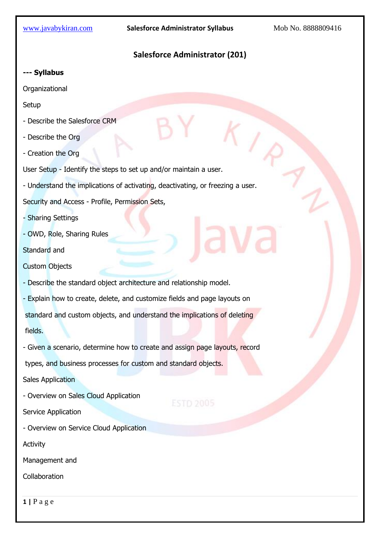$($ 

# **Salesforce Administrator (201)**

**--- Syllabus**

Organizational

**Setup** 

- Describe the Salesforce CRM
- Describe the Org
- Creation the Org
- User Setup Identify the steps to set up and/or maintain a user.
- Understand the implications of activating, deactivating, or freezing a user.

Security and Access - Profile, Permission Sets,

- Sharing Settings

- OWD, Role, Sharing Rules

Standard and

Custom Objects

- Describe the standard object architecture and relationship model.

- Explain how to create, delete, and customize fields and page layouts on

standard and custom objects, and understand the implications of deleting

fields.

- Given a scenario, determine how to create and assign page layouts, record

types, and business processes for custom and standard objects.

Sales Application

- Overview on Sales Cloud Application

Service Application

### - Overview on Service Cloud Application

Activity

Management and

Collaboration

**1 |** P a g e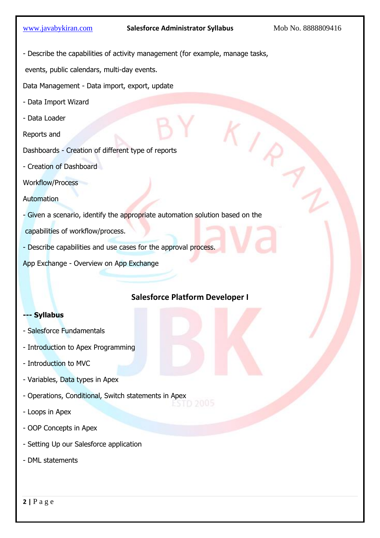$K_{I_{\mathcal{R}}}$ 

- Describe the capabilities of activity management (for example, manage tasks,

events, public calendars, multi-day events.

Data Management - Data import, export, update

- Data Import Wizard
- Data Loader

Reports and

- Dashboards Creation of different type of reports
- Creation of Dashboard

Workflow/Process

**Automation** 

- Given a scenario, identify the appropriate automation solution based on the

capabilities of workflow/process.

- Describe capabilities and use cases for the approval process.

App Exchange - Overview on App Exchange

## **Salesforce Platform Developer I**

#### **--- Syllabus**

- Salesforce Fundamentals
- Introduction to Apex Programming
- Introduction to MVC
- Variables, Data types in Apex
- Operations, Conditional, Switch statements in Apex
- Loops in Apex
- OOP Concepts in Apex
- Setting Up our Salesforce application
- DML statements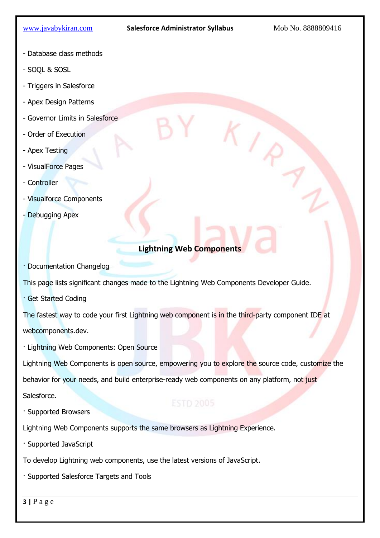$K_{\ell_{\chi}}$ 

- Database class methods
- SOQL & SOSL
- Triggers in Salesforce
- Apex Design Patterns
- Governor Limits in Salesforce
- Order of Execution
- Apex Testing
- VisualForce Pages
- Controller
- Visualforce Components
- Debugging Apex

# **Lightning Web Components**

· Documentation Changelog

This page lists significant changes made to the Lightning Web Components Developer Guide.

· Get Started Coding

The fastest way to code your first Lightning web component is in the third-party component IDE at webcomponents.dev.

· Lightning Web Components: Open Source

Lightning Web Components is open source, empowering you to explore the source code, customize the

behavior for your needs, and build enterprise-ready web components on any platform, not just

Salesforce.

· Supported Browsers

Lightning Web Components supports the same browsers as Lightning Experience.

· Supported JavaScript

To develop Lightning web components, use the latest versions of JavaScript.

· Supported Salesforce Targets and Tools